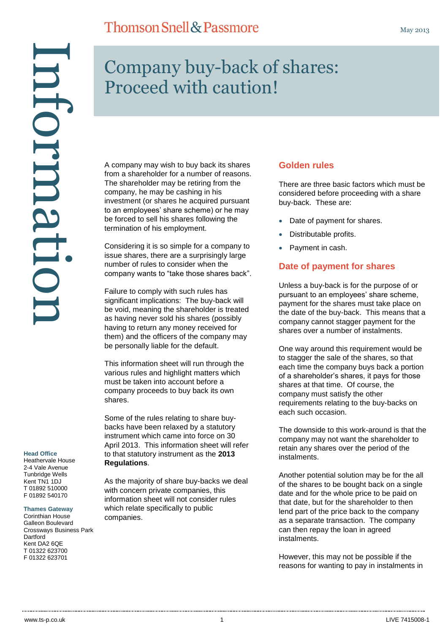A company may wish to buy back its shares from a shareholder for a number of reasons. The shareholder may be retiring from the company, he may be cashing in his investment (or shares he acquired pursuant to an employees' share scheme) or he may be forced to sell his shares following the termination of his employment.

Considering it is so simple for a company to issue shares, there are a surprisingly large number of rules to consider when the company wants to "take those shares back".

Failure to comply with such rules has significant implications: The buy-back will be void, meaning the shareholder is treated as having never sold his shares (possibly having to return any money received for them) and the officers of the company may be personally liable for the default.

This information sheet will run through the various rules and highlight matters which must be taken into account before a company proceeds to buy back its own shares.

Some of the rules relating to share buybacks have been relaxed by a statutory instrument which came into force on 30 April 2013. This information sheet will refer to that statutory instrument as the **2013 Regulations**.

As the majority of share buy-backs we deal with concern private companies, this information sheet will not consider rules which relate specifically to public companies.

## **Golden rules**

There are three basic factors which must be considered before proceeding with a share buy-back. These are:

- Date of payment for shares.
- Distributable profits.
- Payment in cash.

# **Date of payment for shares**

Unless a buy-back is for the purpose of or pursuant to an employees' share scheme, payment for the shares must take place on the date of the buy-back. This means that a company cannot stagger payment for the shares over a number of instalments.

One way around this requirement would be to stagger the sale of the shares, so that each time the company buys back a portion of a shareholder's shares, it pays for those shares at that time. Of course, the company must satisfy the other requirements relating to the buy-backs on each such occasion.

The downside to this work-around is that the company may not want the shareholder to retain any shares over the period of the instalments.

Another potential solution may be for the all of the shares to be bought back on a single date and for the whole price to be paid on that date, but for the shareholder to then lend part of the price back to the company as a separate transaction. The company can then repay the loan in agreed instalments.

However, this may not be possible if the reasons for wanting to pay in instalments in

#### **Head Office**

Heathervale House 2-4 Vale Avenue Tunbridge Wells Kent TN1 1DJ T 01892 510000 F 01892 540170

Information

ntormati

#### **Thames Gateway**

Corinthian House Galleon Boulevard Crossways Business Park **Dartford** Kent DA2 6QE T 01322 623700 F 01322 623701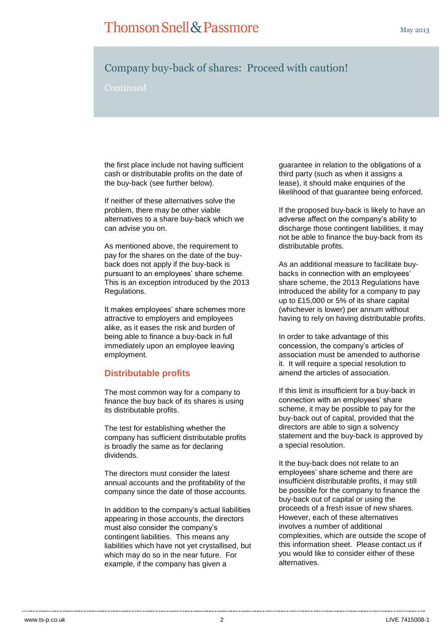Continued

the first place include not having sufficient cash or distributable profits on the date of the buy-back (see further below).

If neither of these alternatives solve the problem, there may be other viable alternatives to a share buy-back which we can advise you on.

As mentioned above, the requirement to pay for the shares on the date of the buyback does not apply if the buy-back is pursuant to an employees' share scheme. This is an exception introduced by the 2013 Regulations.

It makes employees' share schemes more attractive to employers and employees alike, as it eases the risk and burden of being able to finance a buy-back in full immediately upon an employee leaving employment.

## **Distributable profits**

The most common way for a company to finance the buy back of its shares is using its distributable profits.

The test for establishing whether the company has sufficient distributable profits is broadly the same as for declaring dividends.

The directors must consider the latest annual accounts and the profitability of the company since the date of those accounts.

In addition to the company's actual liabilities appearing in those accounts, the directors must also consider the company's contingent liabilities. This means any liabilities which have not yet crystallised, but which may do so in the near future. For example, if the company has given a

guarantee in relation to the obligations of a third party (such as when it assigns a lease), it should make enquiries of the likelihood of that guarantee being enforced.

If the proposed buy-back is likely to have an adverse affect on the company's ability to discharge those contingent liabilities, it may not be able to finance the buy-back from its distributable profits.

As an additional measure to facilitate buybacks in connection with an employees' share scheme, the 2013 Regulations have introduced the ability for a company to pay up to £15,000 or 5% of its share capital (whichever is lower) per annum without having to rely on having distributable profits.

In order to take advantage of this concession, the company's articles of association must be amended to authorise it. It will require a special resolution to amend the articles of association.

If this limit is insufficient for a buy-back in connection with an employees' share scheme, it may be possible to pay for the buy-back out of capital, provided that the directors are able to sign a solvency statement and the buy-back is approved by a special resolution.

It the buy-back does not relate to an employees' share scheme and there are insufficient distributable profits, it may still be possible for the company to finance the buy-back out of capital or using the proceeds of a fresh issue of new shares. However, each of these alternatives involves a number of additional complexities, which are outside the scope of this information sheet. Please contact us if you would like to consider either of these alternatives.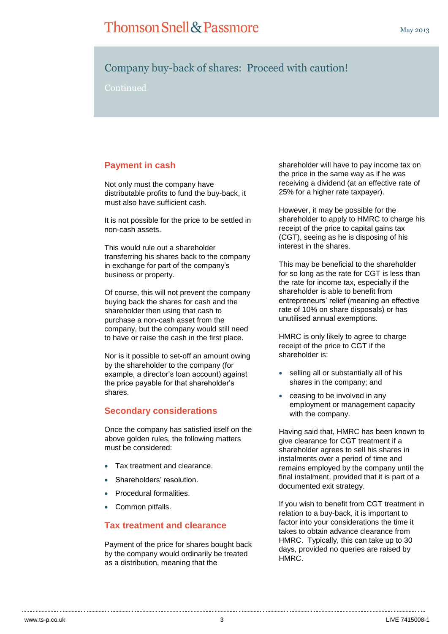Continued

# **Payment in cash**

Not only must the company have distributable profits to fund the buy-back, it must also have sufficient cash.

It is not possible for the price to be settled in non-cash assets.

This would rule out a shareholder transferring his shares back to the company in exchange for part of the company's business or property.

Of course, this will not prevent the company buying back the shares for cash and the shareholder then using that cash to purchase a non-cash asset from the company, but the company would still need to have or raise the cash in the first place.

Nor is it possible to set-off an amount owing by the shareholder to the company (for example, a director's loan account) against the price payable for that shareholder's shares.

### **Secondary considerations**

Once the company has satisfied itself on the above golden rules, the following matters must be considered:

- Tax treatment and clearance.
- Shareholders' resolution.
- Procedural formalities.
- Common pitfalls.

#### **Tax treatment and clearance**

Payment of the price for shares bought back by the company would ordinarily be treated as a distribution, meaning that the

shareholder will have to pay income tax on the price in the same way as if he was receiving a dividend (at an effective rate of 25% for a higher rate taxpayer).

However, it may be possible for the shareholder to apply to HMRC to charge his receipt of the price to capital gains tax (CGT), seeing as he is disposing of his interest in the shares.

This may be beneficial to the shareholder for so long as the rate for CGT is less than the rate for income tax, especially if the shareholder is able to benefit from entrepreneurs' relief (meaning an effective rate of 10% on share disposals) or has unutilised annual exemptions.

HMRC is only likely to agree to charge receipt of the price to CGT if the shareholder is:

- selling all or substantially all of his shares in the company; and
- ceasing to be involved in any employment or management capacity with the company.

Having said that, HMRC has been known to give clearance for CGT treatment if a shareholder agrees to sell his shares in instalments over a period of time and remains employed by the company until the final instalment, provided that it is part of a documented exit strategy.

If you wish to benefit from CGT treatment in relation to a buy-back, it is important to factor into your considerations the time it takes to obtain advance clearance from HMRC. Typically, this can take up to 30 days, provided no queries are raised by HMRC.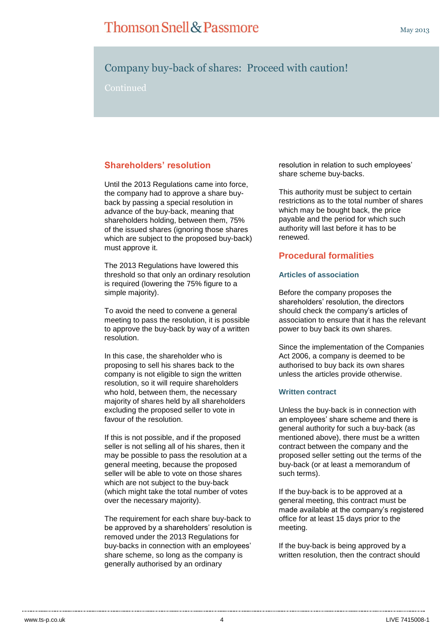Continued

# **Shareholders' resolution**

Until the 2013 Regulations came into force, the company had to approve a share buyback by passing a special resolution in advance of the buy-back, meaning that shareholders holding, between them, 75% of the issued shares (ignoring those shares which are subject to the proposed buy-back) must approve it.

The 2013 Regulations have lowered this threshold so that only an ordinary resolution is required (lowering the 75% figure to a simple majority).

To avoid the need to convene a general meeting to pass the resolution, it is possible to approve the buy-back by way of a written resolution.

In this case, the shareholder who is proposing to sell his shares back to the company is not eligible to sign the written resolution, so it will require shareholders who hold, between them, the necessary majority of shares held by all shareholders excluding the proposed seller to vote in favour of the resolution.

If this is not possible, and if the proposed seller is not selling all of his shares, then it may be possible to pass the resolution at a general meeting, because the proposed seller will be able to vote on those shares which are not subject to the buy-back (which might take the total number of votes over the necessary majority).

The requirement for each share buy-back to be approved by a shareholders' resolution is removed under the 2013 Regulations for buy-backs in connection with an employees' share scheme, so long as the company is generally authorised by an ordinary

resolution in relation to such employees' share scheme buy-backs.

This authority must be subject to certain restrictions as to the total number of shares which may be bought back, the price payable and the period for which such authority will last before it has to be renewed.

### **Procedural formalities**

#### **Articles of association**

Before the company proposes the shareholders' resolution, the directors should check the company's articles of association to ensure that it has the relevant power to buy back its own shares.

Since the implementation of the Companies Act 2006, a company is deemed to be authorised to buy back its own shares unless the articles provide otherwise.

#### **Written contract**

Unless the buy-back is in connection with an employees' share scheme and there is general authority for such a buy-back (as mentioned above), there must be a written contract between the company and the proposed seller setting out the terms of the buy-back (or at least a memorandum of such terms).

If the buy-back is to be approved at a general meeting, this contract must be made available at the company's registered office for at least 15 days prior to the meeting.

If the buy-back is being approved by a written resolution, then the contract should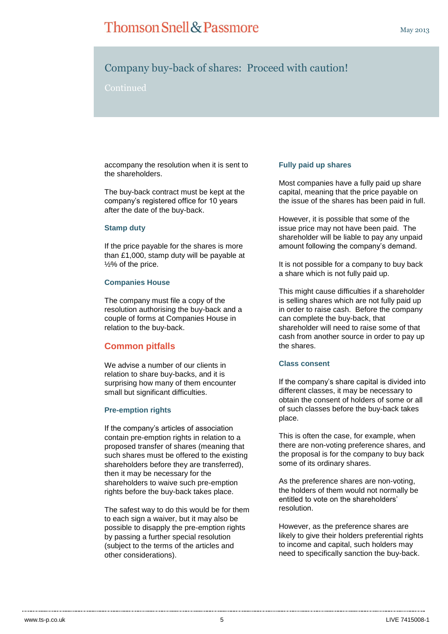### Continued

accompany the resolution when it is sent to the shareholders.

The buy-back contract must be kept at the company's registered office for 10 years after the date of the buy-back.

#### **Stamp duty**

If the price payable for the shares is more than £1,000, stamp duty will be payable at ½% of the price.

#### **Companies House**

The company must file a copy of the resolution authorising the buy-back and a couple of forms at Companies House in relation to the buy-back.

### **Common pitfalls**

We advise a number of our clients in relation to share buy-backs, and it is surprising how many of them encounter small but significant difficulties.

#### **Pre-emption rights**

If the company's articles of association contain pre-emption rights in relation to a proposed transfer of shares (meaning that such shares must be offered to the existing shareholders before they are transferred), then it may be necessary for the shareholders to waive such pre-emption rights before the buy-back takes place.

The safest way to do this would be for them to each sign a waiver, but it may also be possible to disapply the pre-emption rights by passing a further special resolution (subject to the terms of the articles and other considerations).

#### **Fully paid up shares**

Most companies have a fully paid up share capital, meaning that the price payable on the issue of the shares has been paid in full.

However, it is possible that some of the issue price may not have been paid. The shareholder will be liable to pay any unpaid amount following the company's demand.

It is not possible for a company to buy back a share which is not fully paid up.

This might cause difficulties if a shareholder is selling shares which are not fully paid up in order to raise cash. Before the company can complete the buy-back, that shareholder will need to raise some of that cash from another source in order to pay up the shares.

#### **Class consent**

If the company's share capital is divided into different classes, it may be necessary to obtain the consent of holders of some or all of such classes before the buy-back takes place.

This is often the case, for example, when there are non-voting preference shares, and the proposal is for the company to buy back some of its ordinary shares.

As the preference shares are non-voting, the holders of them would not normally be entitled to vote on the shareholders' resolution.

However, as the preference shares are likely to give their holders preferential rights to income and capital, such holders may need to specifically sanction the buy-back.